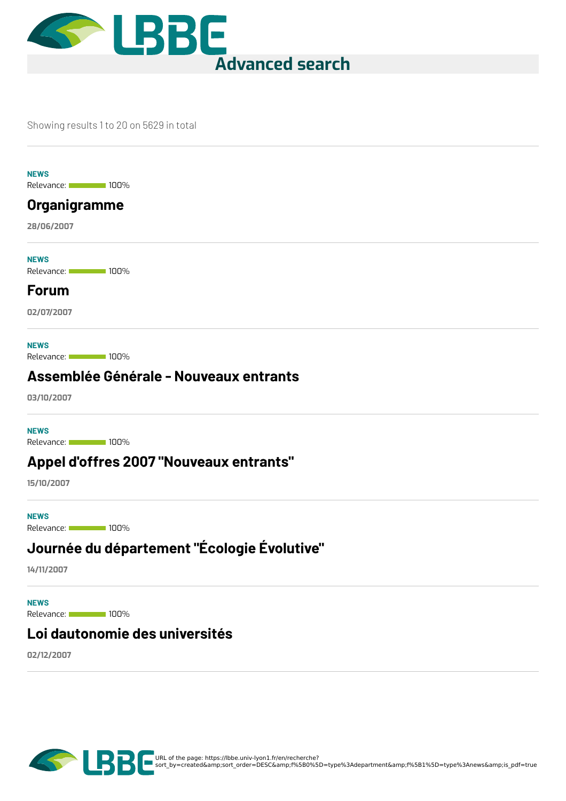

#### Showing results 1 to 20 on 5629 in total

**NEWS**

Relevance: 100%

#### **[Organigramme](https://lbbe.univ-lyon1.fr/en/node/5182)**

**28/06/2007**

Relevance: 100% **NEWS**

#### **[Forum](https://lbbe.univ-lyon1.fr/en/node/5183)**

**02/07/2007**

**NEWS**

Relevance: 100%

#### **[Assemblée](https://lbbe.univ-lyon1.fr/en/node/5184) Générale - Nouveaux entrants**

**03/10/2007**

**NEWS**

Relevance: 100%

#### **Appel d'offres 2007 ["Nouveaux](https://lbbe.univ-lyon1.fr/en/node/5185) entrants"**

**15/10/2007**

Relevance: 100% **NEWS**

# **Journée du [département](https://lbbe.univ-lyon1.fr/en/node/5187) "Écologie Évolutive"**

**14/11/2007**

Relevance: 100% **NEWS**

#### **Loi [dautonomie](https://lbbe.univ-lyon1.fr/en/node/5186) des universités**

**02/12/2007**

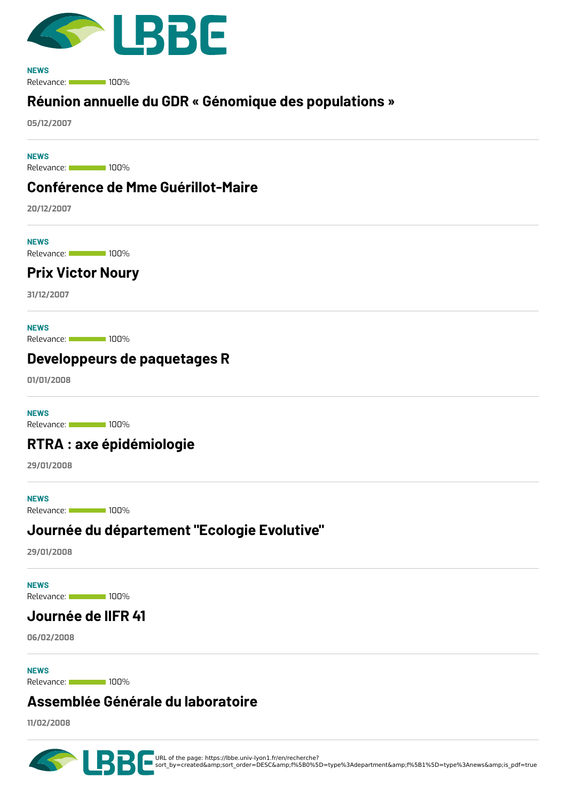

Relevance: 100% **NEWS**

### **Réunion annuelle du GDR « Génomique des [populations](https://lbbe.univ-lyon1.fr/en/node/5188) »**

**05/12/2007**

Relevance: 100% **NEWS**

#### **Conférence de Mme [Guérillot-Maire](https://lbbe.univ-lyon1.fr/en/node/5190)**

**20/12/2007**

**NEWS**

Relevance: 100%

### **Prix [Victor](https://lbbe.univ-lyon1.fr/en/node/5189) Noury**

**31/12/2007**

**NEWS**

Relevance: 100%

#### **[Developpeurs](https://lbbe.univ-lyon1.fr/en/node/5191) de paquetages R**

**01/01/2008**

**NEWS**

Relevance: 100%

#### **RTRA : axe [épidémiologie](https://lbbe.univ-lyon1.fr/en/node/5194)**

**29/01/2008**

Relevance: 100% **NEWS**

#### **Journée du [département](https://lbbe.univ-lyon1.fr/en/node/5192) "Ecologie Evolutive"**

**29/01/2008**

**NEWS**

Relevance: 100%

#### **[Journée](https://lbbe.univ-lyon1.fr/en/node/5193) de lIFR 41**

**06/02/2008**

**NEWS**

Relevance: 100%

#### **[Assemblée](https://lbbe.univ-lyon1.fr/en/node/5195) Générale du laboratoire**

**11/02/2008**



URL of the page: https://lbbe.univ-lyon1.fr/en/recherche?<br>sort\_by=created&amp;sort\_order=DESC&amp;f%5B0%5D=type%3Adepartment&amp;f%5B1%5D=type%3Anews&amp;is\_pdf=true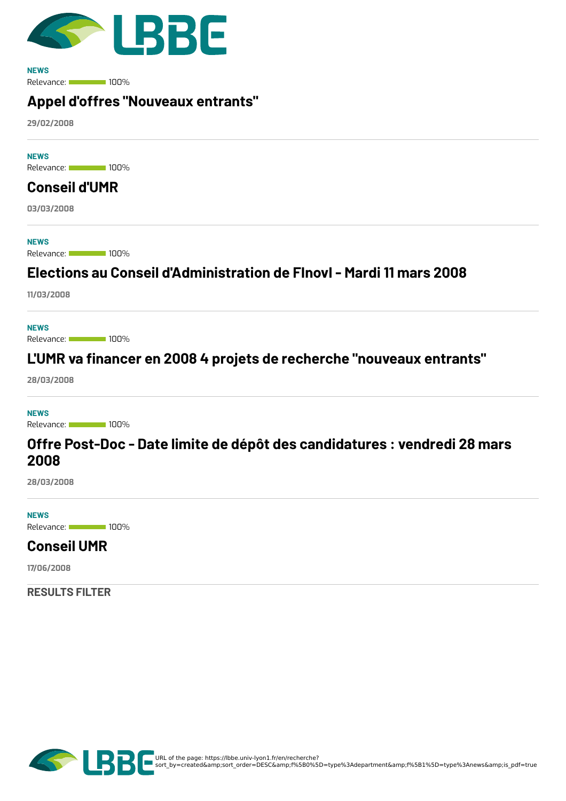

Relevance: 100% **NEWS**

### **Appel d'offres ["Nouveaux](https://lbbe.univ-lyon1.fr/en/node/5197) entrants"**

**29/02/2008**

Relevance: 100% **NEWS**

# **[Conseil](https://lbbe.univ-lyon1.fr/en/node/5196) d'UMR**

**03/03/2008**

**NEWS**

Relevance: 100%

### **Elections au Conseil [d'Administration](https://lbbe.univ-lyon1.fr/en/node/5199) de FInovI - Mardi 11 mars 2008**

**11/03/2008**

Relevance: 100% **NEWS**

## **L'UMR va 8nancer en 2008 4 projets de recherche ["nouveaux](https://lbbe.univ-lyon1.fr/en/node/5198) entrants"**

**28/03/2008**

**NEWS**

Relevance: 100%

#### **Offre Post-Doc - Date limite de dépôt des [candidatures](https://lbbe.univ-lyon1.fr/en/node/5200) : vendredi 28 mars 2008**

**28/03/2008**

Relevance: 100% **NEWS**

### **[Conseil](https://lbbe.univ-lyon1.fr/en/node/5203) UMR**

**17/06/2008**

**RESULTS FILTER**

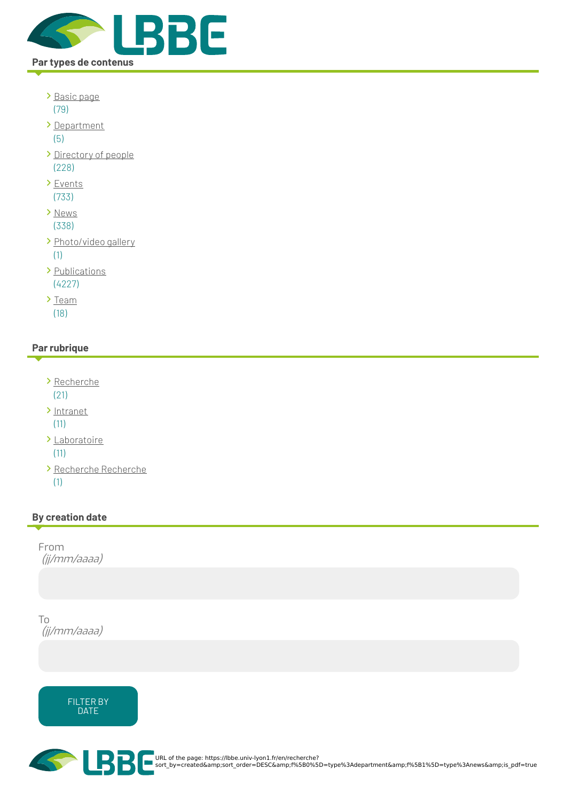

- [Basic](https://lbbe.univ-lyon1.fr/en/recherche?sort_by=created&%253Bsort_order=DESC&%253Bf%255B0%255D=type%253Adepartment&%253Bf%255B1%255D=type%253Anews&%253Bis_pdf=true&f%255B0%255D=type%253Apage) page (79)
- [Department](https://lbbe.univ-lyon1.fr/en/recherche?sort_by=created&%253Bsort_order=DESC&%253Bf%255B0%255D=type%253Adepartment&%253Bf%255B1%255D=type%253Anews&%253Bis_pdf=true&f%255B0%255D=type%253Adepartment) (5)
- [Directory](https://lbbe.univ-lyon1.fr/en/recherche?sort_by=created&%253Bsort_order=DESC&%253Bf%255B0%255D=type%253Adepartment&%253Bf%255B1%255D=type%253Anews&%253Bis_pdf=true&f%255B0%255D=type%253Adirectorypeople) of people (228)
- > [Events](https://lbbe.univ-lyon1.fr/en/recherche?sort_by=created&%253Bsort_order=DESC&%253Bf%255B0%255D=type%253Adepartment&%253Bf%255B1%255D=type%253Anews&%253Bis_pdf=true&f%255B0%255D=type%253Aevent) (733)
- > [News](https://lbbe.univ-lyon1.fr/en/recherche?sort_by=created&%253Bsort_order=DESC&%253Bf%255B0%255D=type%253Adepartment&%253Bf%255B1%255D=type%253Anews&%253Bis_pdf=true&f%255B0%255D=type%253Anews) (338)
- > [Photo/video](https://lbbe.univ-lyon1.fr/en/recherche?sort_by=created&%253Bsort_order=DESC&%253Bf%255B0%255D=type%253Adepartment&%253Bf%255B1%255D=type%253Anews&%253Bis_pdf=true&f%255B0%255D=type%253Agallery) gallery (1)
- > [Publications](https://lbbe.univ-lyon1.fr/en/recherche?sort_by=created&%253Bsort_order=DESC&%253Bf%255B0%255D=type%253Adepartment&%253Bf%255B1%255D=type%253Anews&%253Bis_pdf=true&f%255B0%255D=type%253Apublications) (4227)
- $\sum_{i=1}^{n}$ (18)

#### **Par rubrique**

- [Recherche](https://lbbe.univ-lyon1.fr/en/recherche?sort_by=created&%253Bsort_order=DESC&%253Bf%255B0%255D=type%253Adepartment&%253Bf%255B1%255D=type%253Anews&%253Bis_pdf=true&f%255B0%255D=rubrique%253ARecherche) (21)
- [Intranet](https://lbbe.univ-lyon1.fr/en/recherche?sort_by=created&%253Bsort_order=DESC&%253Bf%255B0%255D=type%253Adepartment&%253Bf%255B1%255D=type%253Anews&%253Bis_pdf=true&f%255B0%255D=rubrique%253AIntranet)

(11)

- [Laboratoire](https://lbbe.univ-lyon1.fr/en/recherche?sort_by=created&%253Bsort_order=DESC&%253Bf%255B0%255D=type%253Adepartment&%253Bf%255B1%255D=type%253Anews&%253Bis_pdf=true&f%255B0%255D=rubrique%253ALaboratoire) (11)
- [Recherche](https://lbbe.univ-lyon1.fr/en/recherche?sort_by=created&%253Bsort_order=DESC&%253Bf%255B0%255D=type%253Adepartment&%253Bf%255B1%255D=type%253Anews&%253Bis_pdf=true&f%255B0%255D=rubrique%253ARecherche%20Recherche) Recherche (1)

#### **By creation date**

From (jj/mm/aaaa)

To (jj/mm/aaaa)





URL of the page: https://lbbe.univ-lyon1.fr/en/recherche?<br>sort\_by=created&amp;sort\_order=DESC&amp;f%5B0%5D=type%3Adepartment&amp;f%5B1%5D=type%3Anews&amp;is\_pdf=true